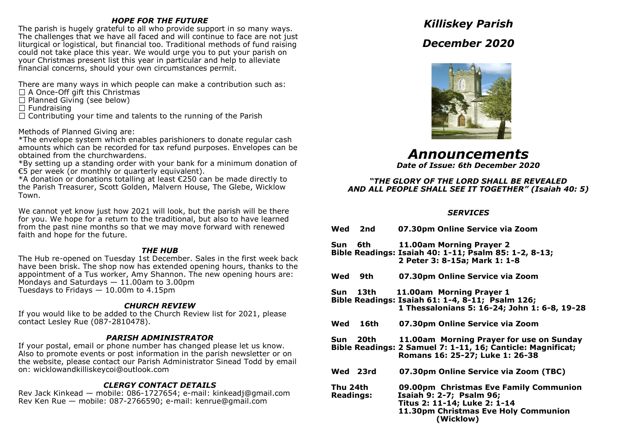## *HOPE FOR THE FUTURE*

The parish is hugely grateful to all who provide support in so many ways. The challenges that we have all faced and will continue to face are not just liturgical or logistical, but financial too. Traditional methods of fund raising could not take place this year. We would urge you to put your parish on your Christmas present list this year in particular and help to alleviate financial concerns, should your own circumstances permit.

There are many ways in which people can make a contribution such as:

- $\Box$  A Once-Off gift this Christmas
- $\Box$  Planned Giving (see below)
- $\Box$  Fundraising

 $\Box$  Contributing your time and talents to the running of the Parish

Methods of Planned Giving are:

\*The envelope system which enables parishioners to donate regular cash amounts which can be recorded for tax refund purposes. Envelopes can be obtained from the churchwardens.

\*By setting up a standing order with your bank for a minimum donation of €5 per week (or monthly or quarterly equivalent).

\*A donation or donations totalling at least €250 can be made directly to the Parish Treasurer, Scott Golden, Malvern House, The Glebe, Wicklow Town.

We cannot yet know just how 2021 will look, but the parish will be there for you. We hope for a return to the traditional, but also to have learned from the past nine months so that we may move forward with renewed faith and hope for the future.

## *THE HUB*

The Hub re-opened on Tuesday 1st December. Sales in the first week back have been brisk. The shop now has extended opening hours, thanks to the appointment of a Tus worker, Amy Shannon. The new opening hours are: Mondays and Saturdays  $-11.00$ am to 3.00pm Tuesdays to Fridays — 10.00m to 4.15pm

# *CHURCH REVIEW*

If you would like to be added to the Church Review list for 2021, please contact Lesley Rue (087-2810478).

# *PARISH ADMINISTRATOR*

If your postal, email or phone number has changed please let us know. Also to promote events or post information in the parish newsletter or on the website, please contact our Parish Administrator Sinead Todd by email on: wicklowandkilliskeycoi@outlook.com

# *CLERGY CONTACT DETAILS*

Rev Jack Kinkead — mobile: 086-1727654; e-mail: kinkeadj@gmail.com Rev Ken Rue — mobile: 087-2766590; e-mail: kenrue@gmail.com

# *Killiskey Parish*





*Announcements*

*Date of Issue: 6th December 2020*

## *"THE GLORY OF THE LORD SHALL BE REVEALED AND ALL PEOPLE SHALL SEE IT TOGETHER" (Isaiah 40: 5)*

# *SERVICES*

|                              | Wed 2nd  | 07.30pm Online Service via Zoom                                                                                                                         |
|------------------------------|----------|---------------------------------------------------------------------------------------------------------------------------------------------------------|
| Sun 6th                      |          | 11.00am Morning Prayer 2<br>Bible Readings: Isaiah 40: 1-11; Psalm 85: 1-2, 8-13;<br>2 Peter 3: 8-15a; Mark 1: 1-8                                      |
|                              | Wed 9th  | 07.30pm Online Service via Zoom                                                                                                                         |
|                              | Sun 13th | 11.00am Morning Prayer 1<br>Bible Readings: Isaiah 61: 1-4, 8-11; Psalm 126;<br>1 Thessalonians 5: 16-24; John 1: 6-8, 19-28                            |
|                              | Wed 16th | 07.30pm Online Service via Zoom                                                                                                                         |
|                              | Sun 20th | 11.00am Morning Prayer for use on Sunday<br>Bible Readings: 2 Samuel 7: 1-11, 16; Canticle: Magnificat;<br>Romans 16: 25-27; Luke 1: 26-38              |
|                              | Wed 23rd | 07.30pm Online Service via Zoom (TBC)                                                                                                                   |
| Thu 24th<br><b>Readings:</b> |          | 09.00pm Christmas Eve Family Communion<br>Isaiah 9: 2-7; Psalm 96;<br>Titus 2: 11-14; Luke 2: 1-14<br>11.30pm Christmas Eve Holy Communion<br>(Wicklow) |